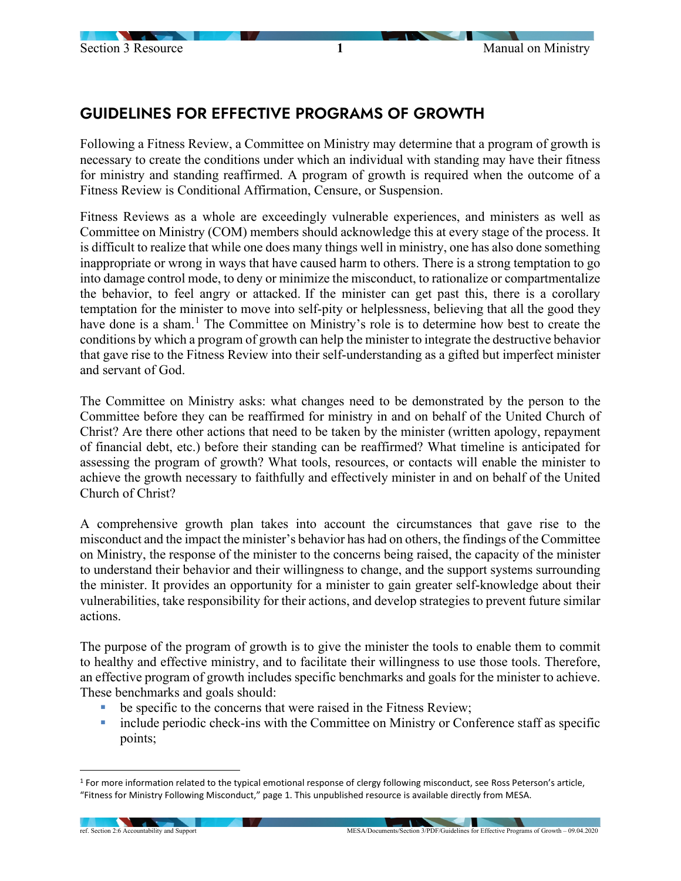## GUIDELINES FOR EFFECTIVE PROGRAMS OF GROWTH

Following a Fitness Review, a Committee on Ministry may determine that a program of growth is necessary to create the conditions under which an individual with standing may have their fitness for ministry and standing reaffirmed. A program of growth is required when the outcome of a Fitness Review is Conditional Affirmation, Censure, or Suspension.

Fitness Reviews as a whole are exceedingly vulnerable experiences, and ministers as well as Committee on Ministry (COM) members should acknowledge this at every stage of the process. It is difficult to realize that while one does many things well in ministry, one has also done something inappropriate or wrong in ways that have caused harm to others. There is a strong temptation to go into damage control mode, to deny or minimize the misconduct, to rationalize or compartmentalize the behavior, to feel angry or attacked. If the minister can get past this, there is a corollary temptation for the minister to move into self-pity or helplessness, believing that all the good they have done is a sham.<sup>[1](#page-0-0)</sup> The Committee on Ministry's role is to determine how best to create the conditions by which a program of growth can help the minister to integrate the destructive behavior that gave rise to the Fitness Review into their self-understanding as a gifted but imperfect minister and servant of God.

The Committee on Ministry asks: what changes need to be demonstrated by the person to the Committee before they can be reaffirmed for ministry in and on behalf of the United Church of Christ? Are there other actions that need to be taken by the minister (written apology, repayment of financial debt, etc.) before their standing can be reaffirmed? What timeline is anticipated for assessing the program of growth? What tools, resources, or contacts will enable the minister to achieve the growth necessary to faithfully and effectively minister in and on behalf of the United Church of Christ?

A comprehensive growth plan takes into account the circumstances that gave rise to the misconduct and the impact the minister's behavior has had on others, the findings of the Committee on Ministry, the response of the minister to the concerns being raised, the capacity of the minister to understand their behavior and their willingness to change, and the support systems surrounding the minister. It provides an opportunity for a minister to gain greater self-knowledge about their vulnerabilities, take responsibility for their actions, and develop strategies to prevent future similar actions.

The purpose of the program of growth is to give the minister the tools to enable them to commit to healthy and effective ministry, and to facilitate their willingness to use those tools. Therefore, an effective program of growth includes specific benchmarks and goals for the minister to achieve. These benchmarks and goals should:

- be specific to the concerns that were raised in the Fitness Review;
- include periodic check-ins with the Committee on Ministry or Conference staff as specific points;

<span id="page-0-0"></span><sup>&</sup>lt;sup>1</sup> For more information related to the typical emotional response of clergy following misconduct, see Ross Peterson's article, "Fitness for Ministry Following Misconduct," page 1. This unpublished resource is available directly from MESA.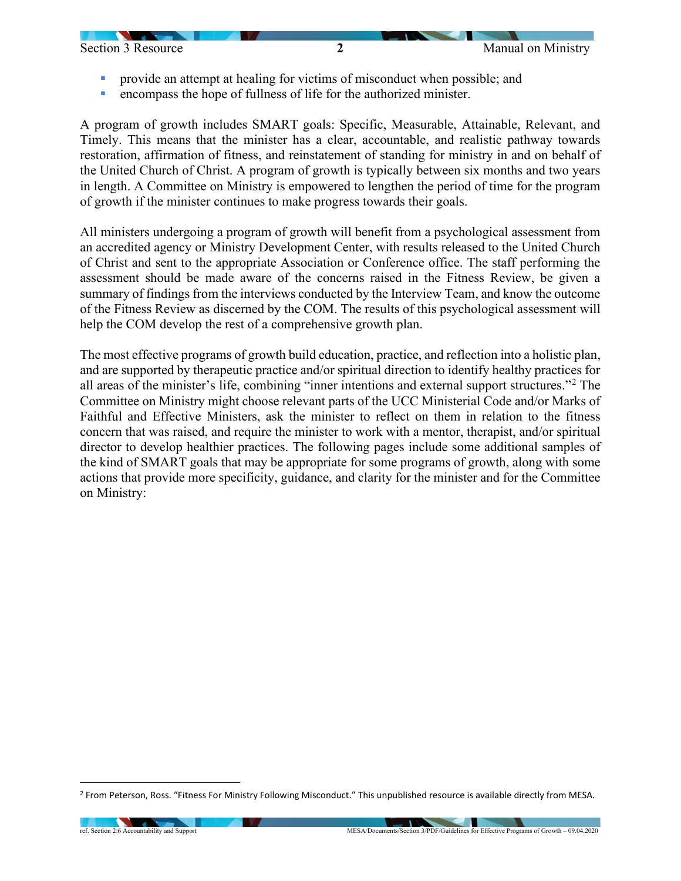

- provide an attempt at healing for victims of misconduct when possible; and
- encompass the hope of fullness of life for the authorized minister.

A program of growth includes SMART goals: Specific, Measurable, Attainable, Relevant, and Timely. This means that the minister has a clear, accountable, and realistic pathway towards restoration, affirmation of fitness, and reinstatement of standing for ministry in and on behalf of the United Church of Christ. A program of growth is typically between six months and two years in length. A Committee on Ministry is empowered to lengthen the period of time for the program of growth if the minister continues to make progress towards their goals.

All ministers undergoing a program of growth will benefit from a psychological assessment from an accredited agency or Ministry Development Center, with results released to the United Church of Christ and sent to the appropriate Association or Conference office. The staff performing the assessment should be made aware of the concerns raised in the Fitness Review, be given a summary of findings from the interviews conducted by the Interview Team, and know the outcome of the Fitness Review as discerned by the COM. The results of this psychological assessment will help the COM develop the rest of a comprehensive growth plan.

The most effective programs of growth build education, practice, and reflection into a holistic plan, and are supported by therapeutic practice and/or spiritual direction to identify healthy practices for all areas of the minister's life, combining "inner intentions and external support structures."[2](#page-1-0) The Committee on Ministry might choose relevant parts of the UCC Ministerial Code and/or Marks of Faithful and Effective Ministers, ask the minister to reflect on them in relation to the fitness concern that was raised, and require the minister to work with a mentor, therapist, and/or spiritual director to develop healthier practices. The following pages include some additional samples of the kind of SMART goals that may be appropriate for some programs of growth, along with some actions that provide more specificity, guidance, and clarity for the minister and for the Committee on Ministry:

<span id="page-1-0"></span><sup>2</sup> From Peterson, Ross. "Fitness For Ministry Following Misconduct." This unpublished resource is available directly from MESA.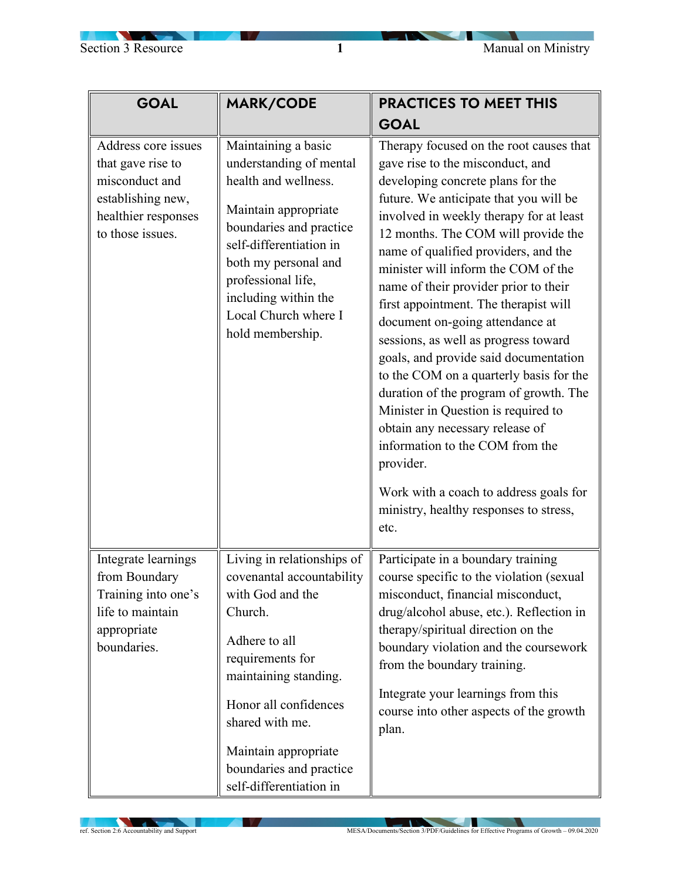**Signal** 

**STATISTICS** 

| <b>GOAL</b>                                                                                                                | MARK/CODE                                                                                                                                                                                                                                                                      | <b>PRACTICES TO MEET THIS</b>                                                                                                                                                                                                                                                                                                                                                                                                                                                                                                                                                                                                                                                                                                                                                                                                                |
|----------------------------------------------------------------------------------------------------------------------------|--------------------------------------------------------------------------------------------------------------------------------------------------------------------------------------------------------------------------------------------------------------------------------|----------------------------------------------------------------------------------------------------------------------------------------------------------------------------------------------------------------------------------------------------------------------------------------------------------------------------------------------------------------------------------------------------------------------------------------------------------------------------------------------------------------------------------------------------------------------------------------------------------------------------------------------------------------------------------------------------------------------------------------------------------------------------------------------------------------------------------------------|
|                                                                                                                            |                                                                                                                                                                                                                                                                                | <b>GOAL</b>                                                                                                                                                                                                                                                                                                                                                                                                                                                                                                                                                                                                                                                                                                                                                                                                                                  |
| Address core issues<br>that gave rise to<br>misconduct and<br>establishing new,<br>healthier responses<br>to those issues. | Maintaining a basic<br>understanding of mental<br>health and wellness.<br>Maintain appropriate<br>boundaries and practice<br>self-differentiation in<br>both my personal and<br>professional life,<br>including within the<br>Local Church where I<br>hold membership.         | Therapy focused on the root causes that<br>gave rise to the misconduct, and<br>developing concrete plans for the<br>future. We anticipate that you will be<br>involved in weekly therapy for at least<br>12 months. The COM will provide the<br>name of qualified providers, and the<br>minister will inform the COM of the<br>name of their provider prior to their<br>first appointment. The therapist will<br>document on-going attendance at<br>sessions, as well as progress toward<br>goals, and provide said documentation<br>to the COM on a quarterly basis for the<br>duration of the program of growth. The<br>Minister in Question is required to<br>obtain any necessary release of<br>information to the COM from the<br>provider.<br>Work with a coach to address goals for<br>ministry, healthy responses to stress,<br>etc. |
| Integrate learnings<br>from Boundary<br>Training into one's<br>life to maintain<br>appropriate<br>boundaries.              | Living in relationships of<br>covenantal accountability<br>with God and the<br>Church.<br>Adhere to all<br>requirements for<br>maintaining standing.<br>Honor all confidences<br>shared with me.<br>Maintain appropriate<br>boundaries and practice<br>self-differentiation in | Participate in a boundary training<br>course specific to the violation (sexual<br>misconduct, financial misconduct,<br>drug/alcohol abuse, etc.). Reflection in<br>therapy/spiritual direction on the<br>boundary violation and the coursework<br>from the boundary training.<br>Integrate your learnings from this<br>course into other aspects of the growth<br>plan.                                                                                                                                                                                                                                                                                                                                                                                                                                                                      |

**INVA**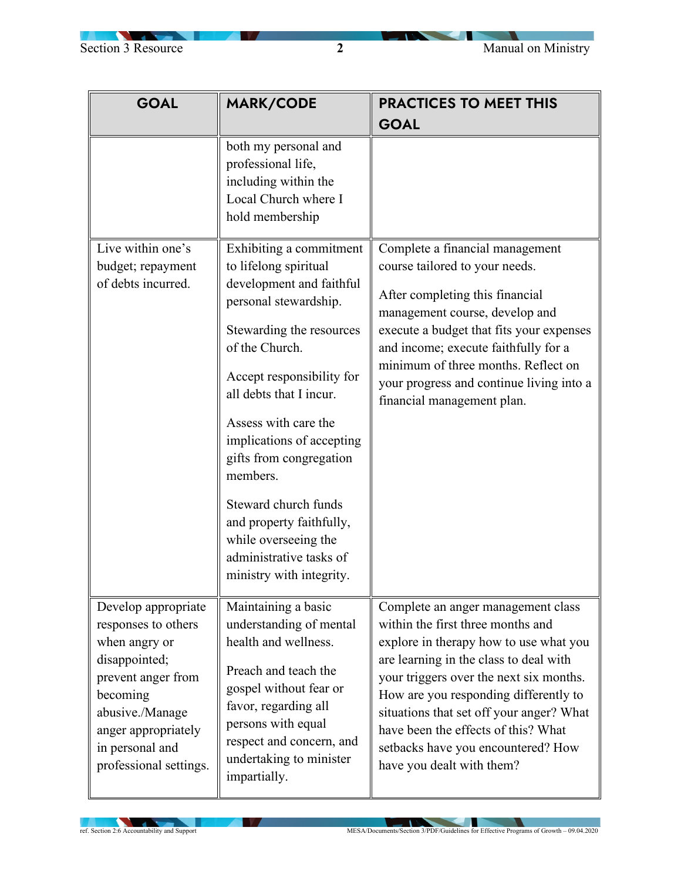

| <b>GOAL</b>                                                                                                                                                                                           | <b>MARK/CODE</b>                                                                                                                                                                                                                                                                                                                                                                       | <b>PRACTICES TO MEET THIS</b>                                                                                                                                                                                                                                                                                                                                                                         |
|-------------------------------------------------------------------------------------------------------------------------------------------------------------------------------------------------------|----------------------------------------------------------------------------------------------------------------------------------------------------------------------------------------------------------------------------------------------------------------------------------------------------------------------------------------------------------------------------------------|-------------------------------------------------------------------------------------------------------------------------------------------------------------------------------------------------------------------------------------------------------------------------------------------------------------------------------------------------------------------------------------------------------|
|                                                                                                                                                                                                       |                                                                                                                                                                                                                                                                                                                                                                                        | <b>GOAL</b>                                                                                                                                                                                                                                                                                                                                                                                           |
| Live within one's<br>budget; repayment                                                                                                                                                                | both my personal and<br>professional life,<br>including within the<br>Local Church where I<br>hold membership<br>Exhibiting a commitment<br>to lifelong spiritual                                                                                                                                                                                                                      | Complete a financial management<br>course tailored to your needs.                                                                                                                                                                                                                                                                                                                                     |
| of debts incurred.                                                                                                                                                                                    | development and faithful<br>personal stewardship.<br>Stewarding the resources<br>of the Church.<br>Accept responsibility for<br>all debts that I incur.<br>Assess with care the<br>implications of accepting<br>gifts from congregation<br>members.<br>Steward church funds<br>and property faithfully,<br>while overseeing the<br>administrative tasks of<br>ministry with integrity. | After completing this financial<br>management course, develop and<br>execute a budget that fits your expenses<br>and income; execute faithfully for a<br>minimum of three months. Reflect on<br>your progress and continue living into a<br>financial management plan.                                                                                                                                |
| Develop appropriate<br>responses to others<br>when angry or<br>disappointed;<br>prevent anger from<br>becoming<br>abusive./Manage<br>anger appropriately<br>in personal and<br>professional settings. | Maintaining a basic<br>understanding of mental<br>health and wellness.<br>Preach and teach the<br>gospel without fear or<br>favor, regarding all<br>persons with equal<br>respect and concern, and<br>undertaking to minister<br>impartially.                                                                                                                                          | Complete an anger management class<br>within the first three months and<br>explore in therapy how to use what you<br>are learning in the class to deal with<br>your triggers over the next six months.<br>How are you responding differently to<br>situations that set off your anger? What<br>have been the effects of this? What<br>setbacks have you encountered? How<br>have you dealt with them? |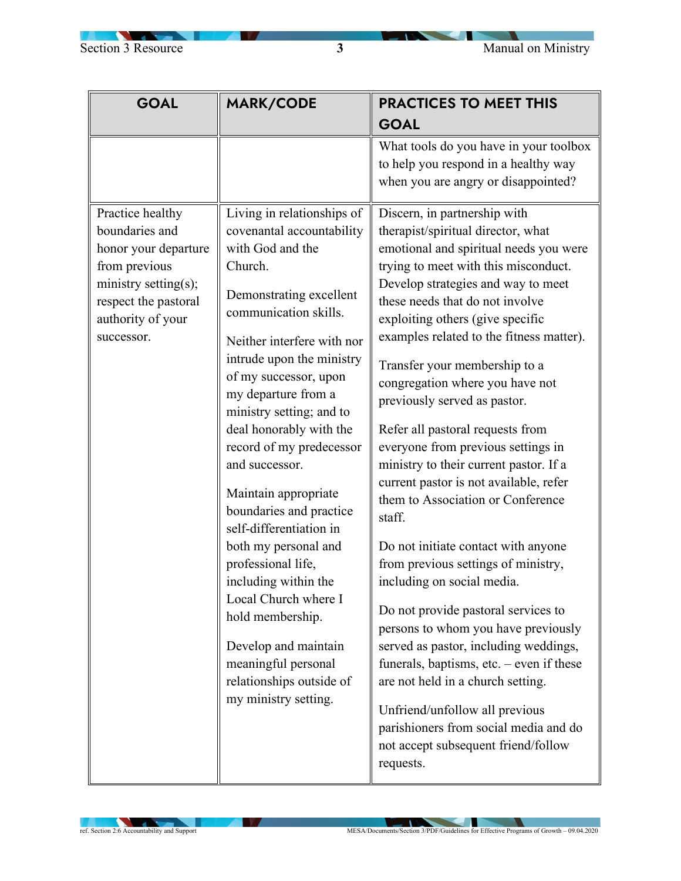<u>and the second part of the second part of the second part of the second part of the second part of the second part of the second part of the second part of the second part of the second part of the second part of the seco</u>

| <b>GOAL</b>                                                                                                                                | <b>MARK/CODE</b>                                                                                                                                                                                                                                                                                                                                                                                                                                                                                                                                                                                                                | <b>PRACTICES TO MEET THIS</b>                                                                                                                                                                                                                                                                                                                                                                                                                                                                                                                                                                                                                                                                                                                                                                                                                                                                                                                                                                                                                       |
|--------------------------------------------------------------------------------------------------------------------------------------------|---------------------------------------------------------------------------------------------------------------------------------------------------------------------------------------------------------------------------------------------------------------------------------------------------------------------------------------------------------------------------------------------------------------------------------------------------------------------------------------------------------------------------------------------------------------------------------------------------------------------------------|-----------------------------------------------------------------------------------------------------------------------------------------------------------------------------------------------------------------------------------------------------------------------------------------------------------------------------------------------------------------------------------------------------------------------------------------------------------------------------------------------------------------------------------------------------------------------------------------------------------------------------------------------------------------------------------------------------------------------------------------------------------------------------------------------------------------------------------------------------------------------------------------------------------------------------------------------------------------------------------------------------------------------------------------------------|
|                                                                                                                                            |                                                                                                                                                                                                                                                                                                                                                                                                                                                                                                                                                                                                                                 | <b>GOAL</b>                                                                                                                                                                                                                                                                                                                                                                                                                                                                                                                                                                                                                                                                                                                                                                                                                                                                                                                                                                                                                                         |
| Practice healthy                                                                                                                           | Living in relationships of                                                                                                                                                                                                                                                                                                                                                                                                                                                                                                                                                                                                      | What tools do you have in your toolbox<br>to help you respond in a healthy way<br>when you are angry or disappointed?<br>Discern, in partnership with                                                                                                                                                                                                                                                                                                                                                                                                                                                                                                                                                                                                                                                                                                                                                                                                                                                                                               |
| boundaries and<br>honor your departure<br>from previous<br>ministry setting(s);<br>respect the pastoral<br>authority of your<br>successor. | covenantal accountability<br>with God and the<br>Church.<br>Demonstrating excellent<br>communication skills.<br>Neither interfere with nor<br>intrude upon the ministry<br>of my successor, upon<br>my departure from a<br>ministry setting; and to<br>deal honorably with the<br>record of my predecessor<br>and successor.<br>Maintain appropriate<br>boundaries and practice<br>self-differentiation in<br>both my personal and<br>professional life,<br>including within the<br>Local Church where I<br>hold membership.<br>Develop and maintain<br>meaningful personal<br>relationships outside of<br>my ministry setting. | therapist/spiritual director, what<br>emotional and spiritual needs you were<br>trying to meet with this misconduct.<br>Develop strategies and way to meet<br>these needs that do not involve<br>exploiting others (give specific<br>examples related to the fitness matter).<br>Transfer your membership to a<br>congregation where you have not<br>previously served as pastor.<br>Refer all pastoral requests from<br>everyone from previous settings in<br>ministry to their current pastor. If a<br>current pastor is not available, refer<br>them to Association or Conference<br>staff.<br>Do not initiate contact with anyone<br>from previous settings of ministry,<br>including on social media.<br>Do not provide pastoral services to<br>persons to whom you have previously<br>served as pastor, including weddings,<br>funerals, baptisms, etc. $-$ even if these<br>are not held in a church setting.<br>Unfriend/unfollow all previous<br>parishioners from social media and do<br>not accept subsequent friend/follow<br>requests. |

**IV**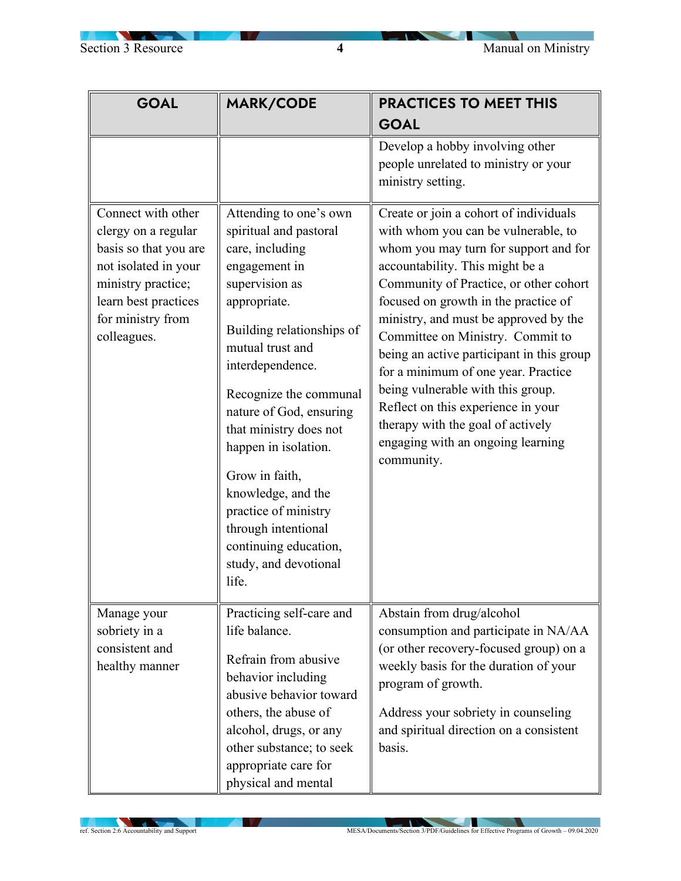| <b>GOAL</b>                                                                                                                                                                  | MARK/CODE                                                                                                                                                                                                                                                                                                                                                                                                                                            | <b>PRACTICES TO MEET THIS</b>                                                                                                                                                                                                                                                                                                                                                                                                                                                                                                                                                   |
|------------------------------------------------------------------------------------------------------------------------------------------------------------------------------|------------------------------------------------------------------------------------------------------------------------------------------------------------------------------------------------------------------------------------------------------------------------------------------------------------------------------------------------------------------------------------------------------------------------------------------------------|---------------------------------------------------------------------------------------------------------------------------------------------------------------------------------------------------------------------------------------------------------------------------------------------------------------------------------------------------------------------------------------------------------------------------------------------------------------------------------------------------------------------------------------------------------------------------------|
|                                                                                                                                                                              |                                                                                                                                                                                                                                                                                                                                                                                                                                                      | <b>GOAL</b>                                                                                                                                                                                                                                                                                                                                                                                                                                                                                                                                                                     |
|                                                                                                                                                                              |                                                                                                                                                                                                                                                                                                                                                                                                                                                      | Develop a hobby involving other<br>people unrelated to ministry or your<br>ministry setting.                                                                                                                                                                                                                                                                                                                                                                                                                                                                                    |
| Connect with other<br>clergy on a regular<br>basis so that you are<br>not isolated in your<br>ministry practice;<br>learn best practices<br>for ministry from<br>colleagues. | Attending to one's own<br>spiritual and pastoral<br>care, including<br>engagement in<br>supervision as<br>appropriate.<br>Building relationships of<br>mutual trust and<br>interdependence.<br>Recognize the communal<br>nature of God, ensuring<br>that ministry does not<br>happen in isolation.<br>Grow in faith,<br>knowledge, and the<br>practice of ministry<br>through intentional<br>continuing education,<br>study, and devotional<br>life. | Create or join a cohort of individuals<br>with whom you can be vulnerable, to<br>whom you may turn for support and for<br>accountability. This might be a<br>Community of Practice, or other cohort<br>focused on growth in the practice of<br>ministry, and must be approved by the<br>Committee on Ministry. Commit to<br>being an active participant in this group<br>for a minimum of one year. Practice<br>being vulnerable with this group.<br>Reflect on this experience in your<br>therapy with the goal of actively<br>engaging with an ongoing learning<br>community. |
| Manage your<br>sobriety in a<br>consistent and<br>healthy manner                                                                                                             | Practicing self-care and<br>life balance.<br>Refrain from abusive<br>behavior including<br>abusive behavior toward<br>others, the abuse of<br>alcohol, drugs, or any<br>other substance; to seek<br>appropriate care for<br>physical and mental                                                                                                                                                                                                      | Abstain from drug/alcohol<br>consumption and participate in NA/AA<br>(or other recovery-focused group) on a<br>weekly basis for the duration of your<br>program of growth.<br>Address your sobriety in counseling<br>and spiritual direction on a consistent<br>basis.                                                                                                                                                                                                                                                                                                          |

**IN A**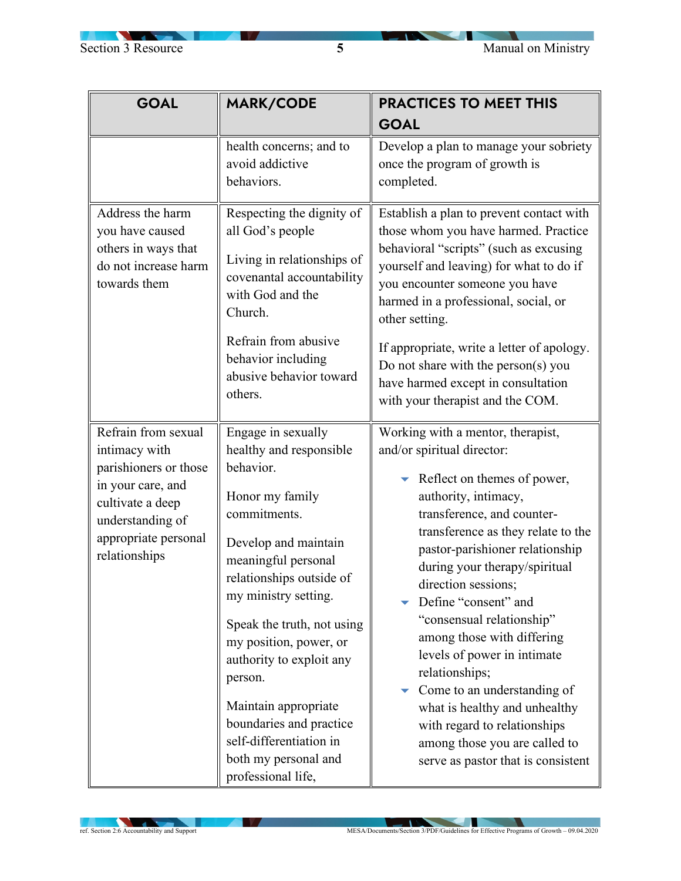$\overline{\phantom{a}}$ 

| <b>GOAL</b>                                                                                                                                  | <b>MARK/CODE</b>                                                                                                                                                                                                                                                                                                                                                                                                            | <b>PRACTICES TO MEET THIS</b>                                                                                                                                                                                                                                                                                                                                                                                                                                                                                                                                                                                          |
|----------------------------------------------------------------------------------------------------------------------------------------------|-----------------------------------------------------------------------------------------------------------------------------------------------------------------------------------------------------------------------------------------------------------------------------------------------------------------------------------------------------------------------------------------------------------------------------|------------------------------------------------------------------------------------------------------------------------------------------------------------------------------------------------------------------------------------------------------------------------------------------------------------------------------------------------------------------------------------------------------------------------------------------------------------------------------------------------------------------------------------------------------------------------------------------------------------------------|
|                                                                                                                                              |                                                                                                                                                                                                                                                                                                                                                                                                                             | <b>GOAL</b>                                                                                                                                                                                                                                                                                                                                                                                                                                                                                                                                                                                                            |
|                                                                                                                                              | health concerns; and to<br>avoid addictive<br>behaviors.                                                                                                                                                                                                                                                                                                                                                                    | Develop a plan to manage your sobriety<br>once the program of growth is<br>completed.                                                                                                                                                                                                                                                                                                                                                                                                                                                                                                                                  |
| Address the harm<br>you have caused<br>others in ways that<br>do not increase harm<br>towards them                                           | Respecting the dignity of<br>all God's people<br>Living in relationships of<br>covenantal accountability<br>with God and the<br>Church.<br>Refrain from abusive<br>behavior including<br>abusive behavior toward<br>others.                                                                                                                                                                                                 | Establish a plan to prevent contact with<br>those whom you have harmed. Practice<br>behavioral "scripts" (such as excusing<br>yourself and leaving) for what to do if<br>you encounter someone you have<br>harmed in a professional, social, or<br>other setting.<br>If appropriate, write a letter of apology.<br>Do not share with the person(s) you<br>have harmed except in consultation<br>with your therapist and the COM.                                                                                                                                                                                       |
| Refrain from sexual                                                                                                                          |                                                                                                                                                                                                                                                                                                                                                                                                                             |                                                                                                                                                                                                                                                                                                                                                                                                                                                                                                                                                                                                                        |
| intimacy with<br>parishioners or those<br>in your care, and<br>cultivate a deep<br>understanding of<br>appropriate personal<br>relationships | Engage in sexually<br>healthy and responsible<br>behavior.<br>Honor my family<br>commitments.<br>Develop and maintain<br>meaningful personal<br>relationships outside of<br>my ministry setting.<br>Speak the truth, not using<br>my position, power, or<br>authority to exploit any<br>person.<br>Maintain appropriate<br>boundaries and practice<br>self-differentiation in<br>both my personal and<br>professional life, | Working with a mentor, therapist,<br>and/or spiritual director:<br>$\blacktriangleright$ Reflect on themes of power,<br>authority, intimacy,<br>transference, and counter-<br>transference as they relate to the<br>pastor-parishioner relationship<br>during your therapy/spiritual<br>direction sessions;<br>Define "consent" and<br>"consensual relationship"<br>among those with differing<br>levels of power in intimate<br>relationships;<br>Come to an understanding of<br>what is healthy and unhealthy<br>with regard to relationships<br>among those you are called to<br>serve as pastor that is consistent |

**IV**